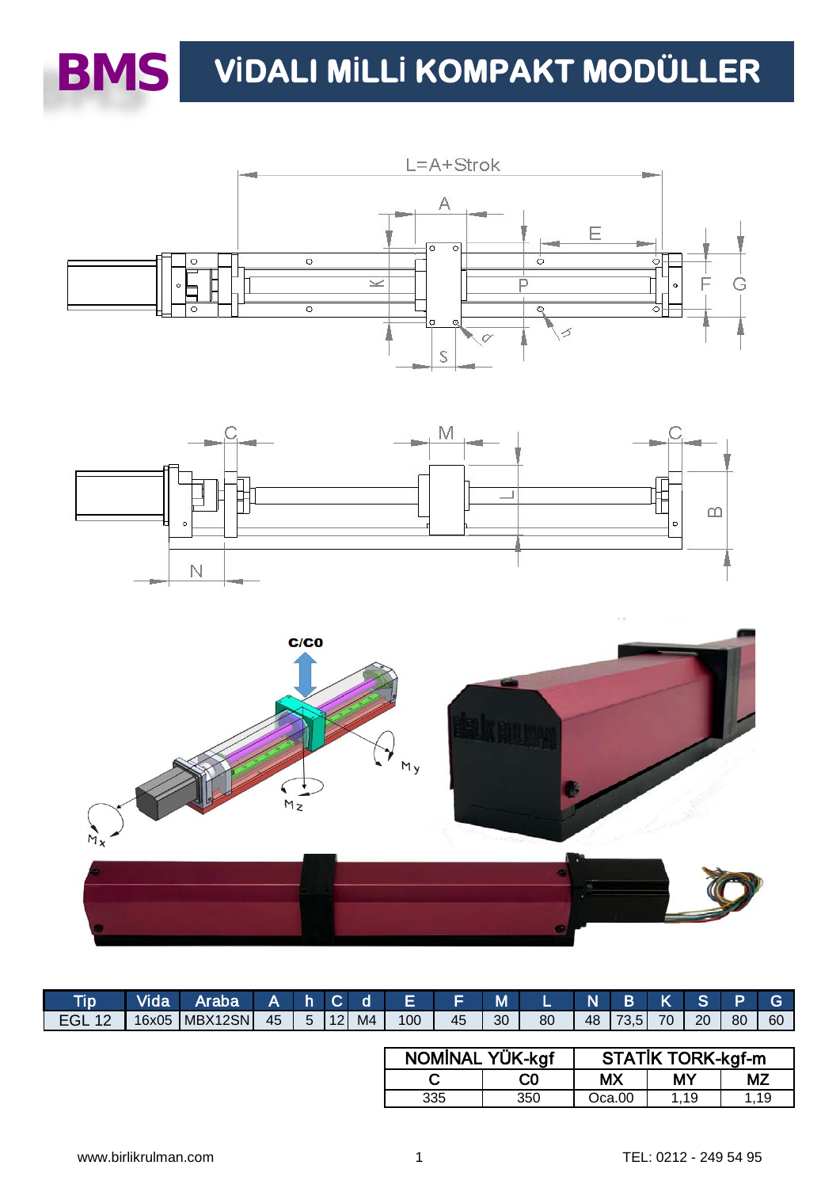

# $\textbf{BMS}$  VIDALI MILLI KOMPAKT MODÜLLER







| <b>Tip</b> | <b>Vida</b> | Araba'  | A  | 7 h. |                 | $C$ d          | E   |    | M  |    | N  | <b>B</b> |    | S. | Þ  |    |
|------------|-------------|---------|----|------|-----------------|----------------|-----|----|----|----|----|----------|----|----|----|----|
| EGL        | 16x05       | MBX12SN | 45 | 5    | 12 <sub>l</sub> | M <sub>4</sub> | 100 | 45 | 30 | 80 | 48 | 73.51    | 70 | 20 | 80 | 60 |

| NOMİNAL YÜK-kgf |                | <b>STATIK TORK-kgf-m</b> |      |     |  |  |  |  |  |  |
|-----------------|----------------|--------------------------|------|-----|--|--|--|--|--|--|
|                 | C <sub>0</sub> | МX                       | MΥ   | MΖ  |  |  |  |  |  |  |
| 335             | 350            | Oca.00                   | 1.19 | 119 |  |  |  |  |  |  |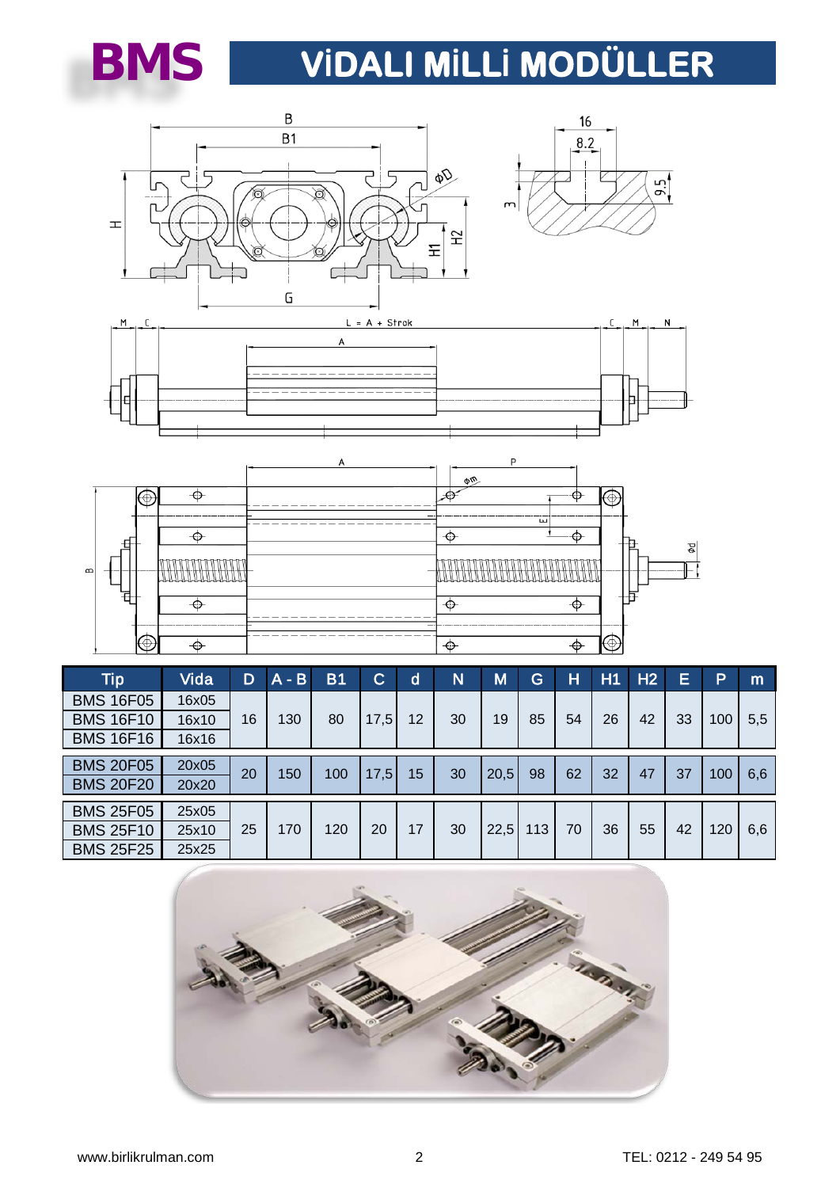

# **VİDALI MİLLİ MODÜLLER**









| <b>Tip</b>       | Vida  | D  | $A - B$ | B1  | C    | d  | N  | M    | G   | н  | H1 | H2 | Ξ  | Þ   | m   |
|------------------|-------|----|---------|-----|------|----|----|------|-----|----|----|----|----|-----|-----|
| <b>BMS 16F05</b> | 16x05 | 16 |         |     |      |    |    |      | 85  | 54 | 26 | 42 |    | 100 | 5,5 |
| <b>BMS 16F10</b> | 16x10 |    | 130     | 80  | 17,5 | 12 | 30 | 19   |     |    |    |    | 33 |     |     |
| <b>BMS 16F16</b> | 16x16 |    |         |     |      |    |    |      |     |    |    |    |    |     |     |
| <b>BMS 20F05</b> | 20x05 |    |         |     |      |    |    |      |     |    |    |    |    |     |     |
| <b>BMS 20F20</b> | 20x20 | 20 | 150     | 100 | 17,5 | 15 | 30 | 20,5 | 98  | 62 | 32 | 47 | 37 | 100 | 6,6 |
| <b>BMS 25F05</b> | 25x05 |    |         |     |      |    |    |      |     |    |    |    |    |     |     |
| <b>BMS 25F10</b> | 25x10 | 25 | 170     | 120 | 20   | 17 | 30 | 22,5 | 113 | 70 | 36 | 55 | 42 | 120 | 6,6 |
| <b>BMS 25F25</b> | 25x25 |    |         |     |      |    |    |      |     |    |    |    |    |     |     |

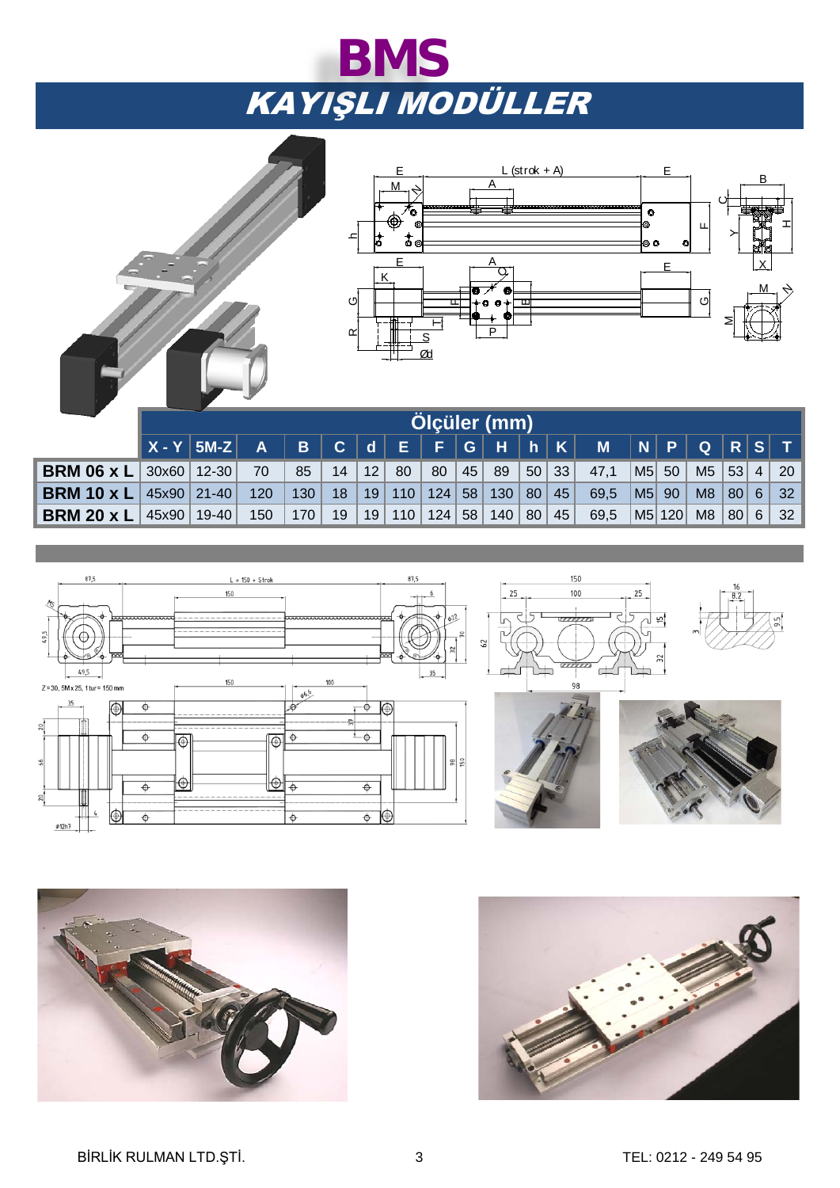# KAYIŞLI MODÜLLER **BMS**



|                                                                                                                                  |  |  |  |  |  |  | ו ן טן תן דון ווין ווין ווין ווין שון ש־ווין ש־ווין באון ש־ווין ש־ווין ש־ווין ש־ |  |  |  |
|----------------------------------------------------------------------------------------------------------------------------------|--|--|--|--|--|--|----------------------------------------------------------------------------------|--|--|--|
| <b>BRM 06 x L</b> 30x60   12-30   70   85   14   12   80   80   45   89   50   33   47,1   M5   50   M5   53   4   20            |  |  |  |  |  |  |                                                                                  |  |  |  |
| <b>BRM 10 x L</b> $ $ 45x90 $ $ 21-40   120   130   18   19   110   124   58   130   80   45   69,5   M5   90   M8   80   6   32 |  |  |  |  |  |  |                                                                                  |  |  |  |
| <b>BRM 20 x L</b>   45x90   19-40   150   170   19   19   110   124   58   140   80   45   69,5   M5   120   M8   80   6   32    |  |  |  |  |  |  |                                                                                  |  |  |  |
|                                                                                                                                  |  |  |  |  |  |  |                                                                                  |  |  |  |





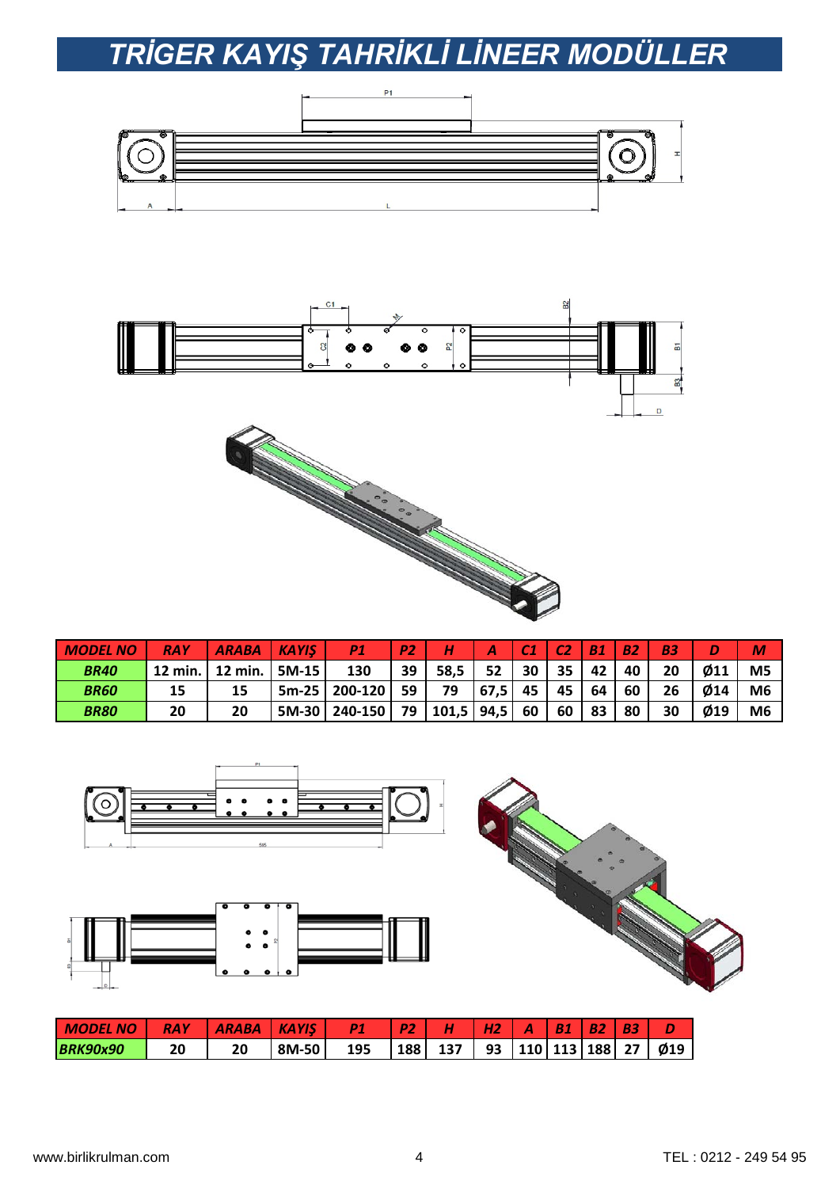## *TRİGER KAYIŞ TAHRİKLİ LİNEER MODÜLLER*





| <b>MODEL</b> | <b>RAY</b> | <b>ARABA</b> | <b>KAYIS</b> | D <sub>1</sub> | P2 |       |      | r a | rэ | <b>B1</b> | כם/ |    |                | M              |
|--------------|------------|--------------|--------------|----------------|----|-------|------|-----|----|-----------|-----|----|----------------|----------------|
| <b>BR40</b>  | 12 min.    | 12 min.      | 5M-15        | 130            | 39 | 58.5  | 52   | 30  | 35 | 42        | 40  | 20 | $\emptyset$ 11 | M <sub>5</sub> |
| <b>BR60</b>  | 15         | 15           | $5m-25$      | 200-120        | 59 | 79    | 67,5 | 45  | 45 | 64        | 60  | 26 | Ø14            | M <sub>6</sub> |
| <b>BR80</b>  | 20         | 20           | 5M-30        | 240-150        | 79 | 101,5 | 94,5 | 60  | 60 | 83        | 80  | 30 | Ø19            | M <sub>6</sub> |

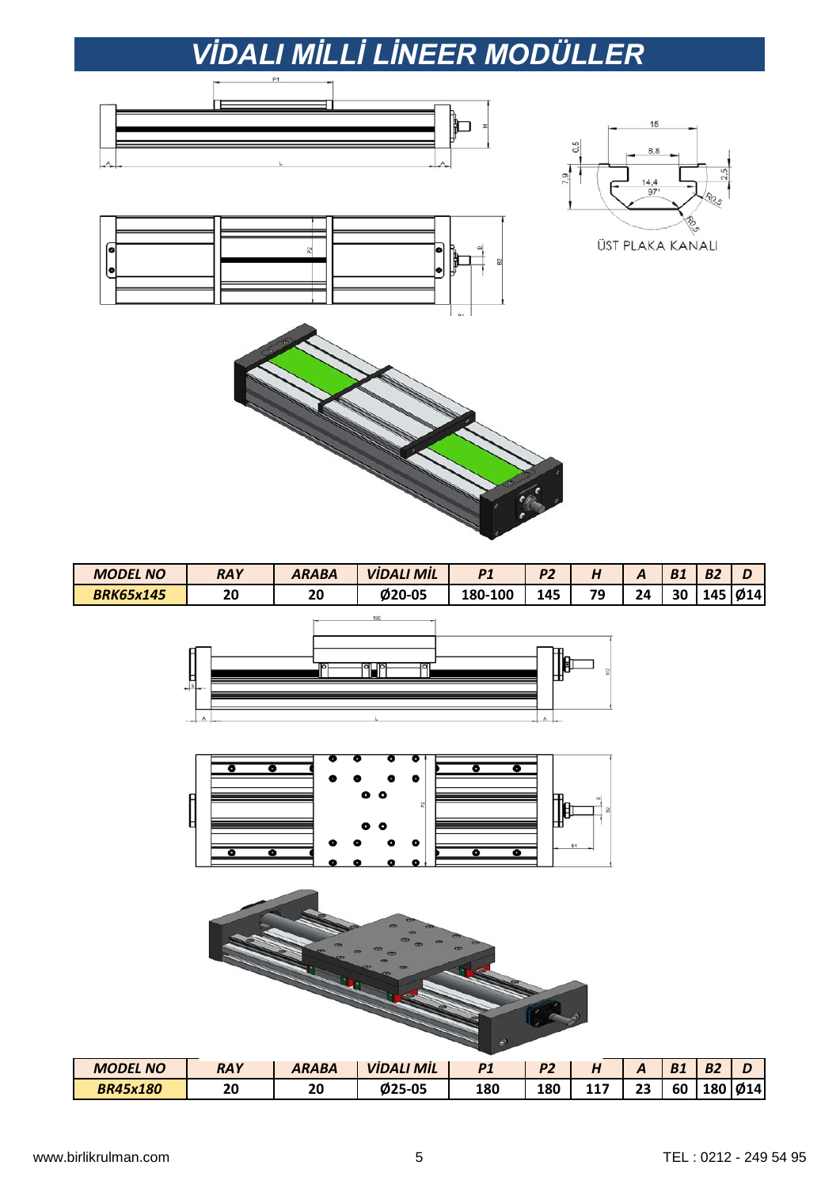### *VİDALI MİLLİ LİNEER MODÜLLER*